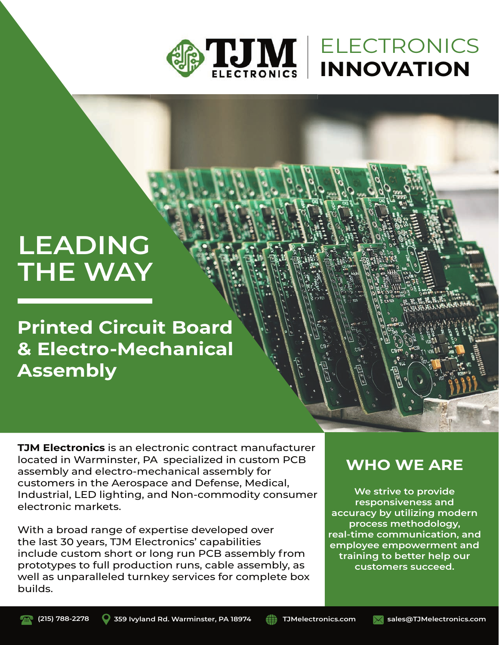

## ELECTRONICS **INNOVATION**

# **LEADING THE WAY**

**Printed Circuit Board & Electro-Mechanical Assembly**

**TJM Electronics** is an electronic contract manufacturer located in Warminster, PA specialized in custom PCB assembly and electro-mechanical assembly for customers in the Aerospace and Defense, Medical, Industrial, LED lighting, and Non-commodity consumer electronic markets.

With a broad range of expertise developed over the last 30 years, TJM Electronics' capabilities include custom short or long run PCB assembly from prototypes to full production runs, cable assembly, as well as unparalleled turnkey services for complete box builds.

### **WHO WE ARE**

**We strive to provide responsiveness and accuracy by utilizing modern process methodology, real-time communication, and employee empowerment and training to better help our customers succeed.**